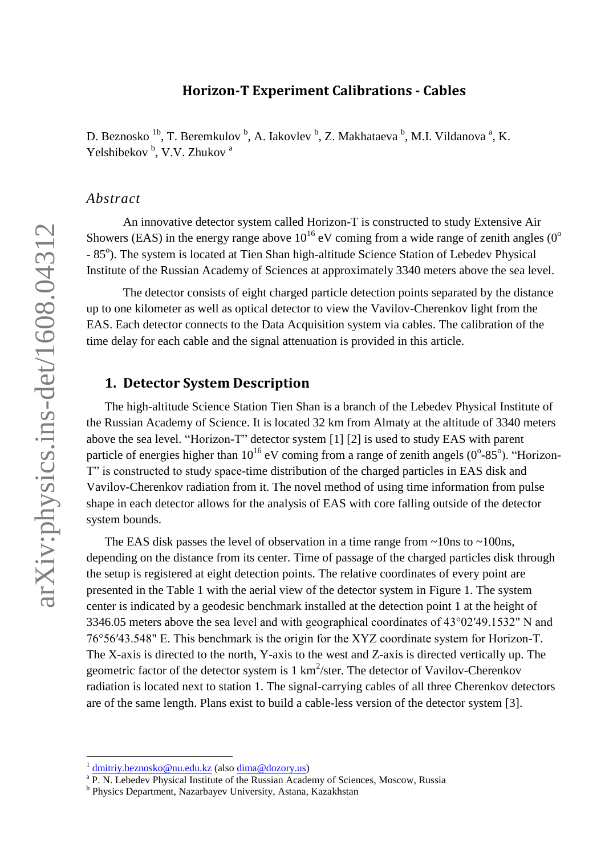## **Horizon-T Experiment Calibrations - Cables**

D. Beznosko <sup>1b</sup>, T. Beremkulov <sup>b</sup>, A. Iakovlev <sup>b</sup>, Z. Makhataeva <sup>b</sup>, M.I. Vildanova <sup>a</sup>, K. Yelshibekov<sup>b</sup>, V.V. Zhukov<sup>a</sup>

#### *Abstract*

An innovative detector system called Horizon-T is constructed to study Extensive Air Showers (EAS) in the energy range above  $10^{16}$  eV coming from a wide range of zenith angles (0<sup>o</sup>) - 85°). The system is located at Tien Shan high-altitude Science Station of Lebedev Physical Institute of the Russian Academy of Sciences at approximately 3340 meters above the sea level.

The detector consists of eight charged particle detection points separated by the distance up to one kilometer as well as optical detector to view the Vavilov-Cherenkov light from the EAS. Each detector connects to the Data Acquisition system via cables. The calibration of the time delay for each cable and the signal attenuation is provided in this article.

## **1. Detector System Description**

The high-altitude Science Station Tien Shan is a branch of the Lebedev Physical Institute of the Russian Academy of Science. It is located 32 km from Almaty at the altitude of 3340 meters above the sea level. "Horizon-T" detector system [1] [2] is used to study EAS with parent particle of energies higher than  $10^{16}$  eV coming from a range of zenith angels (0°-85°). "Horizon-T" is constructed to study space-time distribution of the charged particles in EAS disk and Vavilov-Cherenkov radiation from it. The novel method of using time information from pulse shape in each detector allows for the analysis of EAS with core falling outside of the detector system bounds.

The EAS disk passes the level of observation in a time range from  $\sim$ 10ns to  $\sim$ 100ns, depending on the distance from its center. Time of passage of the charged particles disk through the setup is registered at eight detection points. The relative coordinates of every point are presented in the [Table 1](#page-1-0) with the aerial view of the detector system in [Figure 1.](#page-1-1) The system center is indicated by a geodesic benchmark installed at the detection point 1 at the height of 3346.05 meters above the sea level and with geographical coordinates of 43°02′49.1532" N and 76°56′43.548" E. This benchmark is the origin for the XYZ coordinate system for Horizon-T. The X-axis is directed to the north, Y-axis to the west and Z-axis is directed vertically up. The geometric factor of the detector system is  $1 \text{ km}^2/\text{ster}$ . The detector of Vavilov-Cherenkov radiation is located next to station 1. The signal-carrying cables of all three Cherenkov detectors are of the same length. Plans exist to build a cable-less version of the detector system [3].

<u>.</u>

<sup>&</sup>lt;sup>1</sup> [dmitriy.beznosko@nu.edu.kz](mailto:dmitriy.beznosko@nu.edu.kz) (also [dima@dozory.us\)](mailto:dima@dozory.us)

<sup>&</sup>lt;sup>a</sup> P. N. Lebedev Physical Institute of the Russian Academy of Sciences, Moscow, Russia

**b** Physics Department, Nazarbayev University, Astana, Kazakhstan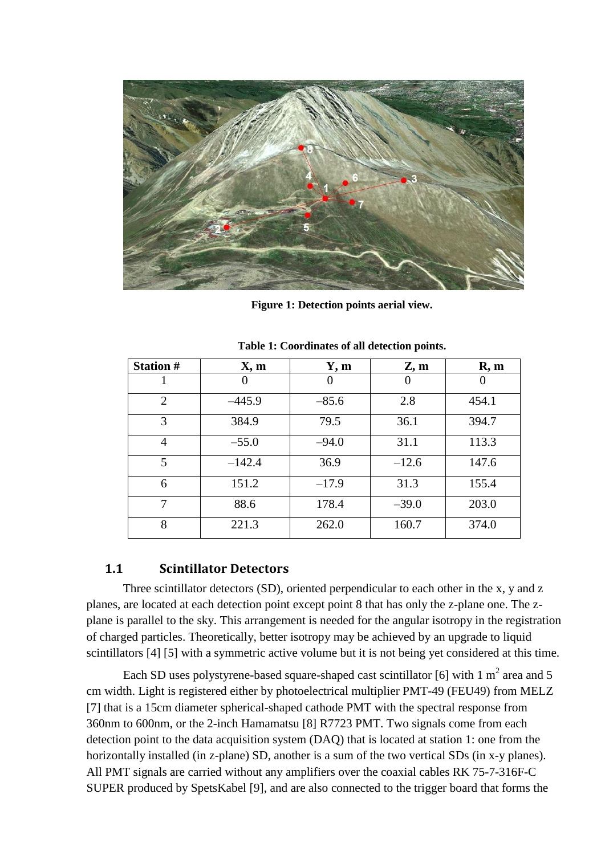

**Figure 1: Detection points aerial view.**

<span id="page-1-1"></span><span id="page-1-0"></span>

| <b>Station #</b> | X, m     | Y, m     | Z, m    | R, m  |
|------------------|----------|----------|---------|-------|
|                  | 0        | $\theta$ |         |       |
| $\overline{2}$   | $-445.9$ | $-85.6$  | 2.8     | 454.1 |
| 3                | 384.9    | 79.5     | 36.1    | 394.7 |
| $\overline{4}$   | $-55.0$  | $-94.0$  | 31.1    | 113.3 |
| 5                | $-142.4$ | 36.9     | $-12.6$ | 147.6 |
| 6                | 151.2    | $-17.9$  | 31.3    | 155.4 |
| 7                | 88.6     | 178.4    | $-39.0$ | 203.0 |
| 8                | 221.3    | 262.0    | 160.7   | 374.0 |

**Table 1: Coordinates of all detection points.**

## **1.1 Scintillator Detectors**

Three scintillator detectors (SD), oriented perpendicular to each other in the x, y and z planes, are located at each detection point except point 8 that has only the z-plane one. The zplane is parallel to the sky. This arrangement is needed for the angular isotropy in the registration of charged particles. Theoretically, better isotropy may be achieved by an upgrade to liquid scintillators [4] [5] with a symmetric active volume but it is not being yet considered at this time.

Each SD uses polystyrene-based square-shaped cast scintillator [6] with 1  $m^2$  area and 5 cm width. Light is registered either by photoelectrical multiplier PMT-49 (FEU49) from MELZ [7] that is a 15cm diameter spherical-shaped cathode PMT with the spectral response from 360nm to 600nm, or the 2-inch Hamamatsu [8] R7723 PMT. Two signals come from each detection point to the data acquisition system (DAQ) that is located at station 1: one from the horizontally installed (in z-plane) SD, another is a sum of the two vertical SDs (in x-y planes). All PMT signals are carried without any amplifiers over the coaxial cables RK 75-7-316F-C SUPER produced by SpetsKabel [9], and are also connected to the trigger board that forms the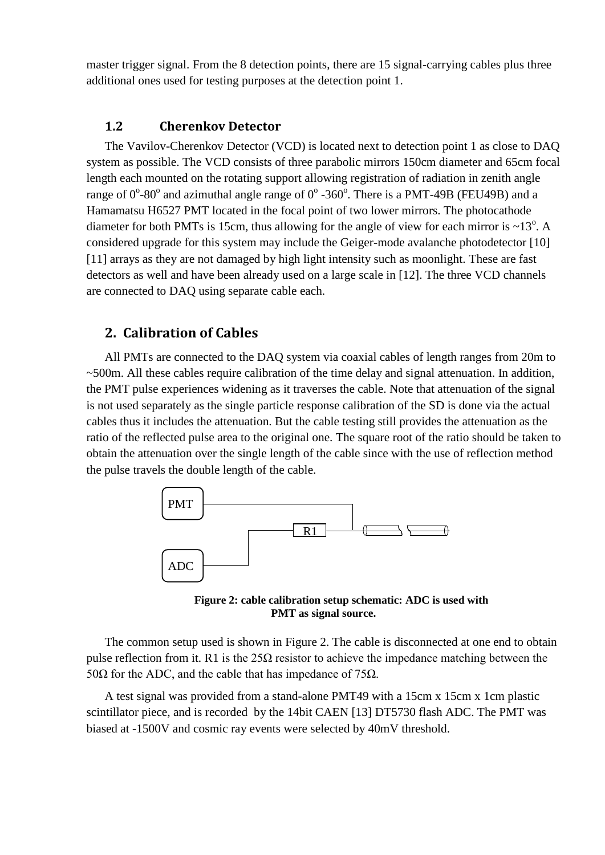master trigger signal. From the 8 detection points, there are 15 signal-carrying cables plus three additional ones used for testing purposes at the detection point 1.

## **1.2 Cherenkov Detector**

The Vavilov-Cherenkov Detector (VCD) is located next to detection point 1 as close to DAQ system as possible. The VCD consists of three parabolic mirrors 150cm diameter and 65cm focal length each mounted on the rotating support allowing registration of radiation in zenith angle range of  $0^{\circ}$ -80° and azimuthal angle range of  $0^{\circ}$ -360°. There is a PMT-49B (FEU49B) and a Hamamatsu H6527 PMT located in the focal point of two lower mirrors. The photocathode diameter for both PMTs is 15cm, thus allowing for the angle of view for each mirror is  $\sim$ 13<sup>o</sup>. A considered upgrade for this system may include the Geiger-mode avalanche photodetector [10] [11] arrays as they are not damaged by high light intensity such as moonlight. These are fast detectors as well and have been already used on a large scale in [12]. The three VCD channels are connected to DAQ using separate cable each.

# **2. Calibration of Cables**

All PMTs are connected to the DAQ system via coaxial cables of length ranges from 20m to ~500m. All these cables require calibration of the time delay and signal attenuation. In addition, the PMT pulse experiences widening as it traverses the cable. Note that attenuation of the signal is not used separately as the single particle response calibration of the SD is done via the actual cables thus it includes the attenuation. But the cable testing still provides the attenuation as the ratio of the reflected pulse area to the original one. The square root of the ratio should be taken to obtain the attenuation over the single length of the cable since with the use of reflection method the pulse travels the double length of the cable.



<span id="page-2-0"></span>**Figure 2: cable calibration setup schematic: ADC is used with PMT as signal source.**

The common setup used is shown in [Figure 2.](#page-2-0) The cable is disconnected at one end to obtain pulse reflection from it. R1 is the  $25\Omega$  resistor to achieve the impedance matching between the 50Ω for the ADC, and the cable that has impedance of 75Ω.

A test signal was provided from a stand-alone PMT49 with a 15cm x 15cm x 1cm plastic scintillator piece, and is recorded by the 14bit CAEN [13] DT5730 flash ADC. The PMT was biased at -1500V and cosmic ray events were selected by 40mV threshold.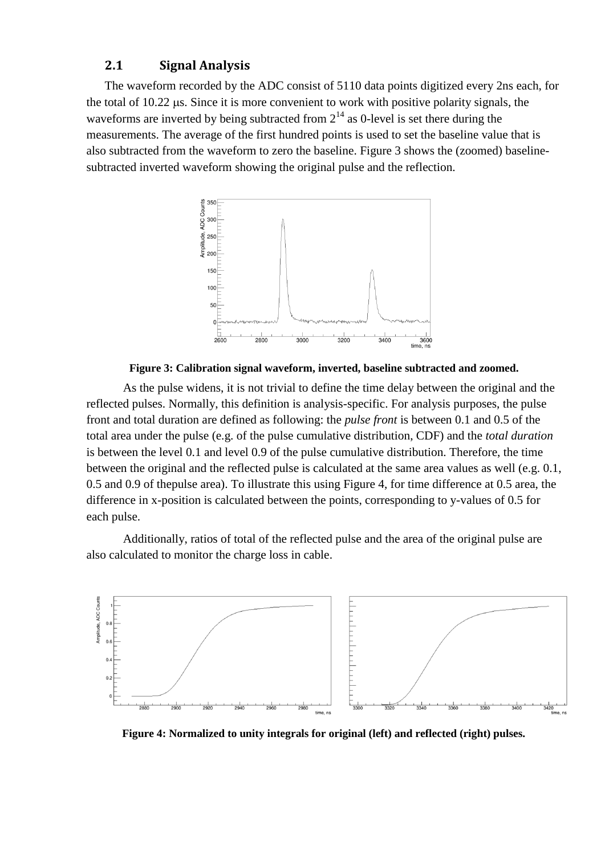### **2.1 Signal Analysis**

The waveform recorded by the ADC consist of 5110 data points digitized every 2ns each, for the total of  $10.22$  us. Since it is more convenient to work with positive polarity signals, the waveforms are inverted by being subtracted from  $2^{14}$  as 0-level is set there during the measurements. The average of the first hundred points is used to set the baseline value that is also subtracted from the waveform to zero the baseline. [Figure 3](#page-3-0) shows the (zoomed) baselinesubtracted inverted waveform showing the original pulse and the reflection.





<span id="page-3-0"></span>As the pulse widens, it is not trivial to define the time delay between the original and the reflected pulses. Normally, this definition is analysis-specific. For analysis purposes, the pulse front and total duration are defined as following: the *pulse front* is between 0.1 and 0.5 of the total area under the pulse (e.g. of the pulse cumulative distribution, CDF) and the *total duration* is between the level 0.1 and level 0.9 of the pulse cumulative distribution. Therefore, the time between the original and the reflected pulse is calculated at the same area values as well (e.g. 0.1, 0.5 and 0.9 of thepulse area). To illustrate this using [Figure 4,](#page-3-1) for time difference at 0.5 area, the difference in x-position is calculated between the points, corresponding to y-values of 0.5 for each pulse.

Additionally, ratios of total of the reflected pulse and the area of the original pulse are also calculated to monitor the charge loss in cable.



<span id="page-3-1"></span>**Figure 4: Normalized to unity integrals for original (left) and reflected (right) pulses.**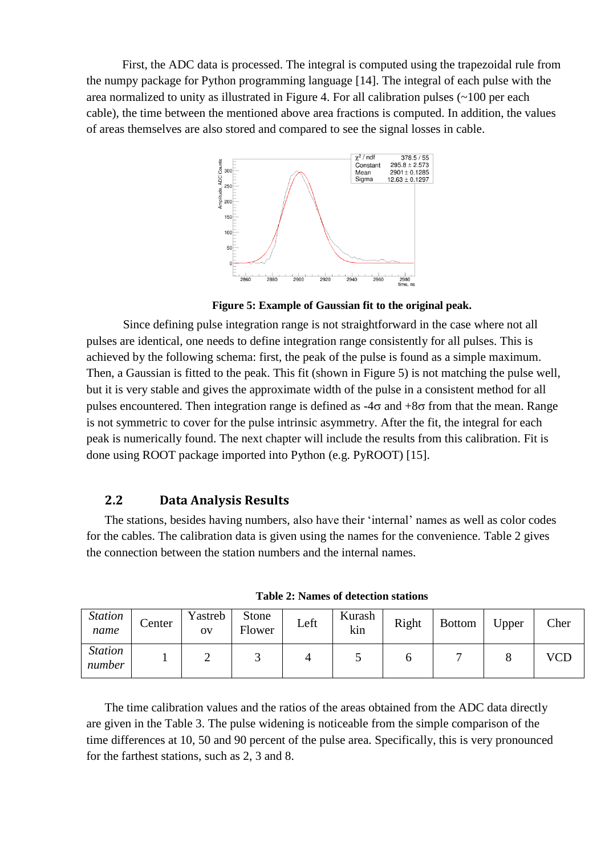First, the ADC data is processed. The integral is computed using the trapezoidal rule from the numpy package for Python programming language [14]. The integral of each pulse with the area normalized to unity as illustrated in [Figure 4.](#page-3-1) For all calibration pulses (~100 per each cable), the time between the mentioned above area fractions is computed. In addition, the values of areas themselves are also stored and compared to see the signal losses in cable.



**Figure 5: Example of Gaussian fit to the original peak.**

<span id="page-4-0"></span>Since defining pulse integration range is not straightforward in the case where not all pulses are identical, one needs to define integration range consistently for all pulses. This is achieved by the following schema: first, the peak of the pulse is found as a simple maximum. Then, a Gaussian is fitted to the peak. This fit (shown in [Figure 5\)](#page-4-0) is not matching the pulse well, but it is very stable and gives the approximate width of the pulse in a consistent method for all pulses encountered. Then integration range is defined as  $-4\sigma$  and  $+8\sigma$  from that the mean. Range is not symmetric to cover for the pulse intrinsic asymmetry. After the fit, the integral for each peak is numerically found. The next chapter will include the results from this calibration. Fit is done using ROOT package imported into Python (e.g. PyROOT) [15].

### **2.2 Data Analysis Results**

The stations, besides having numbers, also have their 'internal' names as well as color codes for the cables. The calibration data is given using the names for the convenience. [Table 2](#page-4-1) gives the connection between the station numbers and the internal names.

<span id="page-4-1"></span>

| <i>Station</i><br>name   | Center | Yastreb<br>OV | <b>Stone</b><br>Flower | Left | Kurash<br>kin | Right | <b>Bottom</b> | Upper | Cher       |
|--------------------------|--------|---------------|------------------------|------|---------------|-------|---------------|-------|------------|
| <b>Station</b><br>number |        |               |                        |      |               |       |               |       | <b>VCD</b> |

**Table 2: Names of detection stations**

The time calibration values and the ratios of the areas obtained from the ADC data directly are given in the [Table 3.](#page-5-0) The pulse widening is noticeable from the simple comparison of the time differences at 10, 50 and 90 percent of the pulse area. Specifically, this is very pronounced for the farthest stations, such as 2, 3 and 8.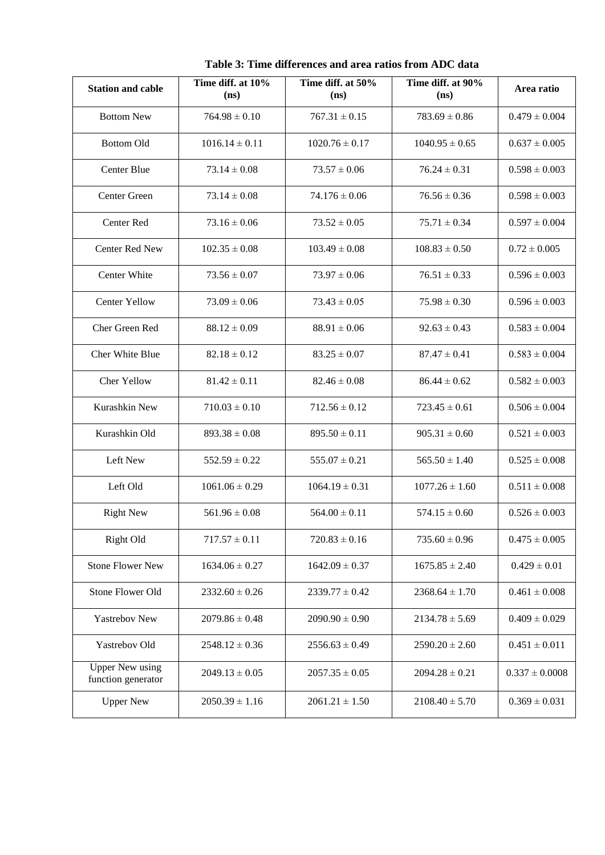<span id="page-5-0"></span>

| <b>Station and cable</b>                     | Time diff. at 10%<br>(n <sub>s</sub> ) | Time diff. at 50%<br>(n <sub>s</sub> ) | Time diff. at 90%<br>(ns) | Area ratio         |
|----------------------------------------------|----------------------------------------|----------------------------------------|---------------------------|--------------------|
| <b>Bottom New</b>                            | $764.98 \pm 0.10$                      | $767.31 \pm 0.15$                      | $783.69 \pm 0.86$         | $0.479 \pm 0.004$  |
| <b>Bottom Old</b>                            | $1016.14 \pm 0.11$                     | $1020.76 \pm 0.17$                     | $1040.95 \pm 0.65$        | $0.637 \pm 0.005$  |
| Center Blue                                  | $73.14 \pm 0.08$                       | $73.57 \pm 0.06$                       | $76.24 \pm 0.31$          | $0.598 \pm 0.003$  |
| Center Green                                 | $73.14 \pm 0.08$                       | $74.176 \pm 0.06$                      | $76.56 \pm 0.36$          | $0.598 \pm 0.003$  |
| Center Red                                   | $73.16 \pm 0.06$                       | $73.52 \pm 0.05$                       | $75.71 \pm 0.34$          | $0.597 \pm 0.004$  |
| <b>Center Red New</b>                        | $102.35 \pm 0.08$                      | $103.49 \pm 0.08$                      | $108.83 \pm 0.50$         | $0.72 \pm 0.005$   |
| Center White                                 | $73.56 \pm 0.07$                       | $73.97 \pm 0.06$                       | $76.51 \pm 0.33$          | $0.596 \pm 0.003$  |
| Center Yellow                                | $73.09 \pm 0.06$                       | $73.43 \pm 0.05$                       | $75.98 \pm 0.30$          | $0.596 \pm 0.003$  |
| Cher Green Red                               | $88.12 \pm 0.09$                       | $88.91 \pm 0.06$                       | $92.63 \pm 0.43$          | $0.583 \pm 0.004$  |
| Cher White Blue                              | $82.18 \pm 0.12$                       | $83.25 \pm 0.07$                       | $87.47 \pm 0.41$          | $0.583 \pm 0.004$  |
| <b>Cher Yellow</b>                           | $81.42 \pm 0.11$                       | $82.46 \pm 0.08$                       | $86.44 \pm 0.62$          | $0.582 \pm 0.003$  |
| Kurashkin New                                | $710.03 \pm 0.10$                      | $712.56 \pm 0.12$                      | $723.45 \pm 0.61$         | $0.506 \pm 0.004$  |
| Kurashkin Old                                | $893.38 \pm 0.08$                      | $895.50 \pm 0.11$                      | $905.31 \pm 0.60$         | $0.521 \pm 0.003$  |
| Left New                                     | $552.59 \pm 0.22$                      | $555.07 \pm 0.21$                      | $565.50 \pm 1.40$         | $0.525 \pm 0.008$  |
| Left Old                                     | $1061.06 \pm 0.29$                     | $1064.19 \pm 0.31$                     | $1077.26 \pm 1.60$        | $0.511 \pm 0.008$  |
| <b>Right New</b>                             | $561.96 \pm 0.08$                      | $564.00 \pm 0.11$                      | $574.15 \pm 0.60$         | $0.526 \pm 0.003$  |
| Right Old                                    | $717.57 \pm 0.11$                      | $720.83 \pm 0.16$                      | $735.60 \pm 0.96$         | $0.475 \pm 0.005$  |
| <b>Stone Flower New</b>                      | $1634.06 \pm 0.27$                     | $1642.09 \pm 0.37$                     | $1675.85 \pm 2.40$        | $0.429 \pm 0.01$   |
| Stone Flower Old                             | $2332.60 \pm 0.26$                     | $2339.77 \pm 0.42$                     | $2368.64 \pm 1.70$        | $0.461 \pm 0.008$  |
| Yastrebov New                                | $2079.86 \pm 0.48$                     | $2090.90 \pm 0.90$                     | $2134.78 \pm 5.69$        | $0.409 \pm 0.029$  |
| Yastrebov Old                                | $2548.12 \pm 0.36$                     | $2556.63 \pm 0.49$                     | $2590.20 \pm 2.60$        | $0.451 \pm 0.011$  |
| <b>Upper New using</b><br>function generator | $2049.13 \pm 0.05$                     | $2057.35 \pm 0.05$                     | $2094.28 \pm 0.21$        | $0.337 \pm 0.0008$ |
| <b>Upper New</b>                             | $2050.39 \pm 1.16$                     | $2061.21 \pm 1.50$                     | $2108.40 \pm 5.70$        | $0.369 \pm 0.031$  |

**Table 3: Time differences and area ratios from ADC data**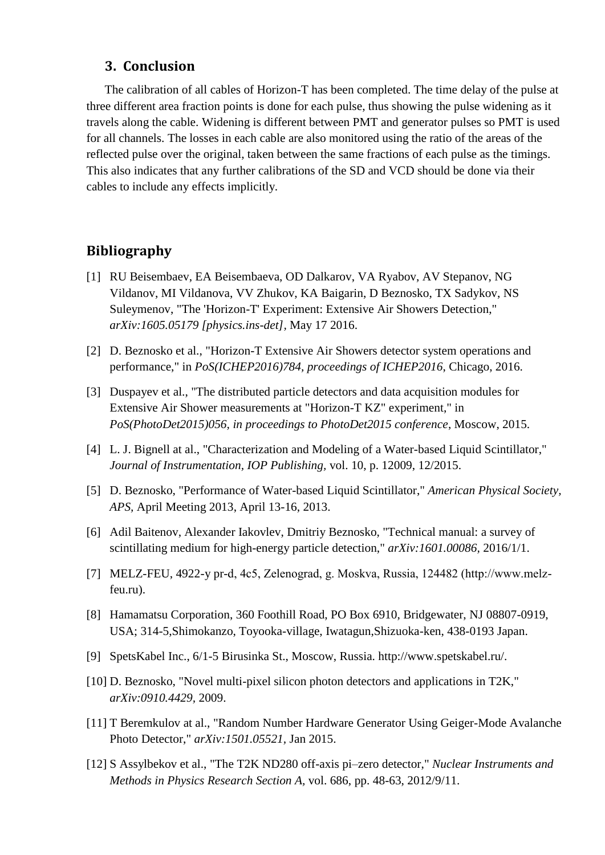## **3. Conclusion**

The calibration of all cables of Horizon-T has been completed. The time delay of the pulse at three different area fraction points is done for each pulse, thus showing the pulse widening as it travels along the cable. Widening is different between PMT and generator pulses so PMT is used for all channels. The losses in each cable are also monitored using the ratio of the areas of the reflected pulse over the original, taken between the same fractions of each pulse as the timings. This also indicates that any further calibrations of the SD and VCD should be done via their cables to include any effects implicitly.

## **Bibliography**

- [1] RU Beisembaev, EA Beisembaeva, OD Dalkarov, VA Ryabov, AV Stepanov, NG Vildanov, MI Vildanova, VV Zhukov, KA Baigarin, D Beznosko, TX Sadykov, NS Suleymenov, "The 'Horizon-T' Experiment: Extensive Air Showers Detection," *arXiv:1605.05179 [physics.ins-det],* May 17 2016.
- [2] D. Beznosko et al., "Horizon-T Extensive Air Showers detector system operations and performance," in *PoS(ICHEP2016)784, proceedings of ICHEP2016*, Chicago, 2016.
- [3] Duspayev et al., "The distributed particle detectors and data acquisition modules for Extensive Air Shower measurements at "Horizon-T KZ" experiment," in *PoS(PhotoDet2015)056, in proceedings to PhotoDet2015 conference*, Moscow, 2015.
- [4] L. J. Bignell at al., "Characterization and Modeling of a Water-based Liquid Scintillator," *Journal of Instrumentation, IOP Publishing,* vol. 10, p. 12009, 12/2015.
- [5] D. Beznosko, "Performance of Water-based Liquid Scintillator," *American Physical Society, APS,* April Meeting 2013, April 13-16, 2013.
- [6] Adil Baitenov, Alexander Iakovlev, Dmitriy Beznosko, "Technical manual: a survey of scintillating medium for high-energy particle detection," *arXiv:1601.00086,* 2016/1/1.
- [7] MELZ-FEU, 4922-y pr-d, 4с5, Zelenograd, g. Moskva, Russia, 124482 (http://www.melzfeu.ru).
- [8] Hamamatsu Corporation, 360 Foothill Road, PO Box 6910, Bridgewater, NJ 08807-0919, USA; 314-5,Shimokanzo, Toyooka-village, Iwatagun,Shizuoka-ken, 438-0193 Japan.
- [9] SpetsKabel Inc., 6/1-5 Birusinka St., Moscow, Russia. http://www.spetskabel.ru/.
- [10] D. Beznosko, "Novel multi-pixel silicon photon detectors and applications in T2K," *arXiv:0910.4429,* 2009.
- [11] T Beremkulov at al., "Random Number Hardware Generator Using Geiger-Mode Avalanche Photo Detector," *arXiv:1501.05521,* Jan 2015.
- [12] S Assylbekov et al., "The T2K ND280 off-axis pi–zero detector," *Nuclear Instruments and Methods in Physics Research Section A,* vol. 686, pp. 48-63, 2012/9/11.